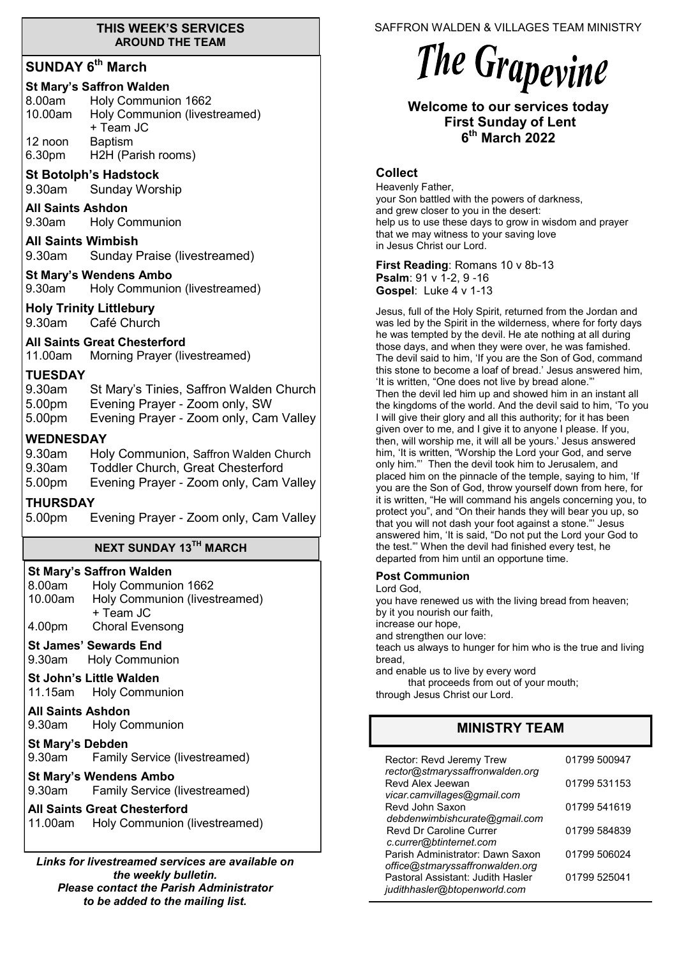#### **THIS WEEK'S SERVICES AROUND THE TEAM**

# **SUNDAY 6th March**

#### **St Mary's Saffron Walden**

| 8.00am  | Holy Communion 1662           |
|---------|-------------------------------|
| 10.00am | Holy Communion (livestreamed) |
|         | + Team JC                     |
| 12 noon | <b>Baptism</b>                |
| 6.30pm  | H2H (Parish rooms)            |

#### **St Botolph's Hadstock**

9.30am Sunday Worship

#### **All Saints Ashdon**

9.30am Holy Communion

#### **All Saints Wimbish** 9.30am Sunday Praise (livestreamed)

**St Mary's Wendens Ambo** 9.30am Holy Communion (livestreamed)

#### **Holy Trinity Littlebury**

9.30am Café Church

#### **All Saints Great Chesterford**

11.00am Morning Prayer (livestreamed)

#### **TUESDAY**

- 9.30am St Mary's Tinies, Saffron Walden Church
- 5.00pm Evening Prayer Zoom only, SW
- 5.00pm Evening Prayer Zoom only, Cam Valley

#### **WEDNESDAY**

| 9.30am             | Holy Communion, Saffron Walden Church    |
|--------------------|------------------------------------------|
| 9.30am             | <b>Toddler Church, Great Chesterford</b> |
| 5.00 <sub>pm</sub> | Evening Prayer - Zoom only, Cam Valley   |

#### **THURSDAY**

5.00pm Evening Prayer - Zoom only, Cam Valley

## **NEXT SUNDAY 13TH MARCH**

#### **St Mary's Saffron Walden**

8.00am Holy Communion 1662 10.00am Holy Communion (livestreamed) + Team JC 4.00pm Choral Evensong

# **St James' Sewards End**

- 9.30am Holy Communion
- **St John's Little Walden**  11.15am Holy Communion

# **All Saints Ashdon**

9.30am Holy Communion

**St Mary's Debden** 9.30am Family Service (livestreamed)

#### **St Mary's Wendens Ambo**

9.30am Family Service (livestreamed)

#### **All Saints Great Chesterford**

11.00am Holy Communion (livestreamed)

*Links for livestreamed services are available on the weekly bulletin. Please contact the Parish Administrator to be added to the mailing list.*

SAFFRON WALDEN & VILLAGES TEAM MINISTRY

# The Grapevine

#### **Welcome to our services today First Sunday of Lent 6 th March 2022**

#### **Collect**

Heavenly Father, your Son battled with the powers of darkness, and grew closer to you in the desert: help us to use these days to grow in wisdom and prayer that we may witness to your saving love in Jesus Christ our Lord.

**First Reading**: Romans 10 v 8b-13 **Psalm**: 91 v 1-2, 9 -16 **Gospel**: Luke 4 v 1-13

Jesus, full of the Holy Spirit, returned from the Jordan and was led by the Spirit in the wilderness, where for forty days he was tempted by the devil. He ate nothing at all during those days, and when they were over, he was famished. The devil said to him, 'If you are the Son of God, command this stone to become a loaf of bread.' Jesus answered him, 'It is written, "One does not live by bread alone."' Then the devil led him up and showed him in an instant all the kingdoms of the world. And the devil said to him, 'To you I will give their glory and all this authority; for it has been given over to me, and I give it to anyone I please. If you, then, will worship me, it will all be yours.' Jesus answered him, 'It is written, "Worship the Lord your God, and serve only him."' Then the devil took him to Jerusalem, and placed him on the pinnacle of the temple, saying to him, 'If you are the Son of God, throw yourself down from here, for it is written, "He will command his angels concerning you, to protect you", and "On their hands they will bear you up, so that you will not dash your foot against a stone."' Jesus answered him, 'It is said, "Do not put the Lord your God to the test."' When the devil had finished every test, he departed from him until an opportune time.

#### **Post Communion**

Lord God,

you have renewed us with the living bread from heaven; by it you nourish our faith, increase our hope, and strengthen our love: teach us always to hunger for him who is the true and living bread, and enable us to live by every word that proceeds from out of your mouth; through Jesus Christ our Lord.

## **MINISTRY TEAM**

| Rector: Revd Jeremy Trew<br>rector@stmaryssaffronwalden.org         | 01799 500947 |
|---------------------------------------------------------------------|--------------|
| Revd Alex Jeewan<br>vicar.camvillages@gmail.com                     | 01799 531153 |
| Revd John Saxon<br>debdenwimbishcurate@gmail.com                    | 01799 541619 |
| <b>Revd Dr Caroline Currer</b><br>c.currer@btinternet.com           | 01799 584839 |
| Parish Administrator: Dawn Saxon<br>office@stmaryssaffronwalden.org | 01799 506024 |
| Pastoral Assistant: Judith Hasler<br>judithhasler@btopenworld.com   | 01799 525041 |